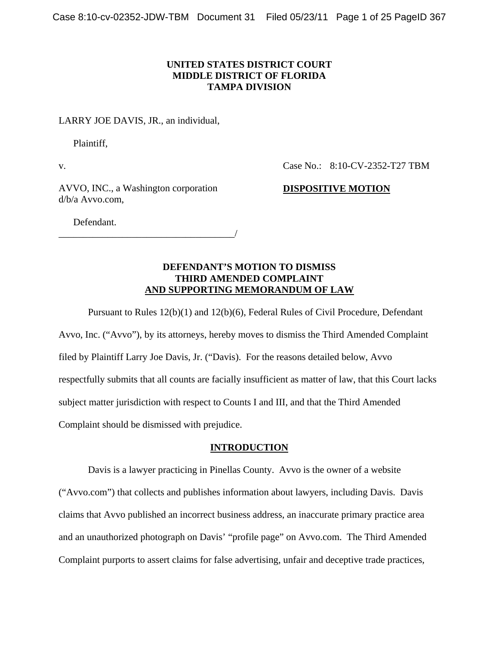## **UNITED STATES DISTRICT COURT MIDDLE DISTRICT OF FLORIDA TAMPA DIVISION**

#### LARRY JOE DAVIS, JR., an individual,

Plaintiff,

v.

Case No.: 8:10-CV-2352-T27 TBM

AVVO, INC., a Washington corporation d/b/a Avvo.com,

**DISPOSITIVE MOTION**

Defendant.

\_\_\_\_\_\_\_\_\_\_\_\_\_\_\_\_\_\_\_\_\_\_\_\_\_\_\_\_\_\_\_\_\_\_\_\_/

## **DEFENDANT'S MOTION TO DISMISS THIRD AMENDED COMPLAINT AND SUPPORTING MEMORANDUM OF LAW**

Pursuant to Rules 12(b)(1) and 12(b)(6), Federal Rules of Civil Procedure, Defendant Avvo, Inc. ("Avvo"), by its attorneys, hereby moves to dismiss the Third Amended Complaint filed by Plaintiff Larry Joe Davis, Jr. ("Davis). For the reasons detailed below, Avvo respectfully submits that all counts are facially insufficient as matter of law, that this Court lacks subject matter jurisdiction with respect to Counts I and III, and that the Third Amended Complaint should be dismissed with prejudice.

### **INTRODUCTION**

<span id="page-0-0"></span>Davis is a lawyer practicing in Pinellas County. Avvo is the owner of a website ("Avvo.com") that collects and publishes information about lawyers, including Davis. Davis claims that Avvo published an incorrect business address, an inaccurate primary practice area and an unauthorized photograph on Davis' "profile page" on Avvo.com. The Third Amended Complaint purports to assert claims for false advertising, unfair and deceptive trade practices,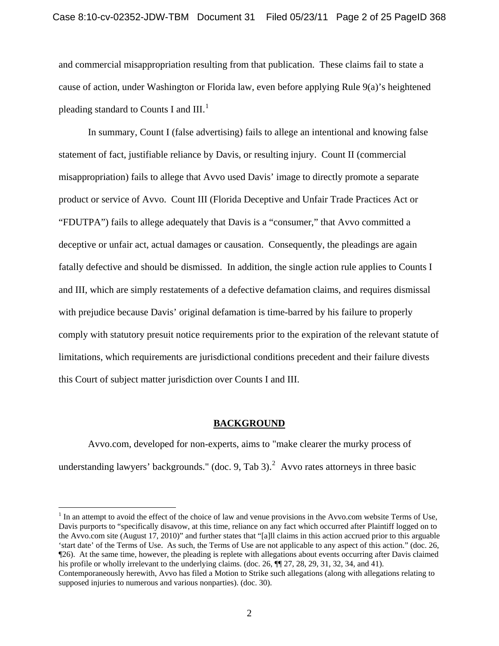and commercial misappropriation resulting from that publication. These claims fail to state a cause of action, under Washington or Florida law, even before applying Rule 9(a)'s heightened pleading standard to Counts I and  $III.^1$  $III.^1$ 

In summary, Count I (false advertising) fails to allege an intentional and knowing false statement of fact, justifiable reliance by Davis, or resulting injury. Count II (commercial misappropriation) fails to allege that Avvo used Davis' image to directly promote a separate product or service of Avvo. Count III (Florida Deceptive and Unfair Trade Practices Act or "FDUTPA") fails to allege adequately that Davis is a "consumer," that Avvo committed a deceptive or unfair act, actual damages or causation. Consequently, the pleadings are again fatally defective and should be dismissed. In addition, the single action rule applies to Counts I and III, which are simply restatements of a defective defamation claims, and requires dismissal with prejudice because Davis' original defamation is time-barred by his failure to properly comply with statutory presuit notice requirements prior to the expiration of the relevant statute of limitations, which requirements are jurisdictional conditions precedent and their failure divests this Court of subject matter jurisdiction over Counts I and III.

#### **BACKGROUND**

Avvo.com, developed for non-experts, aims to "make clearer the murky process of understanding lawyers' backgrounds." (doc. 9, Tab 3).<sup>[2](#page-1-0)</sup> Avvo rates attorneys in three basic

<span id="page-1-1"></span><span id="page-1-0"></span> $<sup>1</sup>$  In an attempt to avoid the effect of the choice of law and venue provisions in the Avvo.com website Terms of Use,</sup> Davis purports to "specifically disavow, at this time, reliance on any fact which occurred after Plaintiff logged on to the Avvo.com site (August 17, 2010)" and further states that "[a]ll claims in this action accrued prior to this arguable 'start date' of the Terms of Use. As such, the Terms of Use are not applicable to any aspect of this action." (doc. 26, ¶26). At the same time, however, the pleading is replete with allegations about events occurring after Davis claimed his profile or wholly irrelevant to the underlying claims. (doc. 26,  $\P$  $[27, 28, 29, 31, 32, 34,$  and 41).

Contemporaneously herewith, Avvo has filed a Motion to Strike such allegations (along with allegations relating to supposed injuries to numerous and various nonparties). (doc. 30).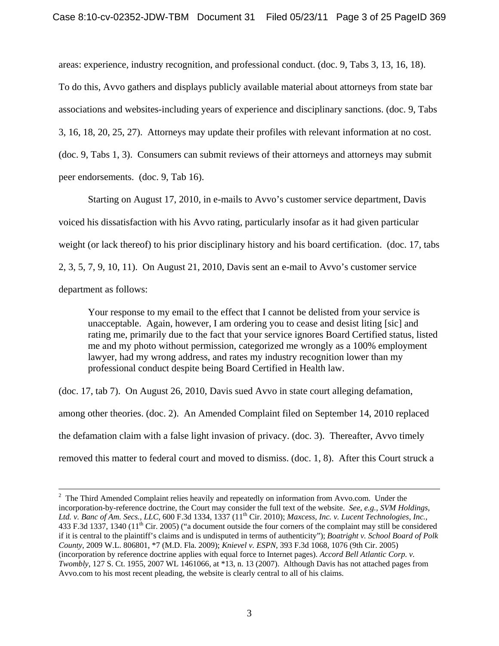areas: experience, industry recognition, and professional conduct. (doc. 9, Tabs 3, 13, 16, 18). To do this, Avvo gathers and displays publicly available material about attorneys from state bar associations and websites-including years of experience and disciplinary sanctions. (doc. 9, Tabs 3, 16, 18, 20, 25, 27). Attorneys may update their profiles with relevant information at no cost. (doc. 9, Tabs 1, 3). Consumers can submit reviews of their attorneys and attorneys may submit peer endorsements. (doc. 9, Tab 16).

Starting on August 17, 2010, in e-mails to Avvo's customer service department, Davis voiced his dissatisfaction with his Avvo rating, particularly insofar as it had given particular weight (or lack thereof) to his prior disciplinary history and his board certification. (doc. 17, tabs 2, 3, 5, 7, 9, 10, 11). On August 21, 2010, Davis sent an e-mail to Avvo's customer service department as follows:

Your response to my email to the effect that I cannot be delisted from your service is unacceptable. Again, however, I am ordering you to cease and desist liting [sic] and rating me, primarily due to the fact that your service ignores Board Certified status, listed me and my photo without permission, categorized me wrongly as a 100% employment lawyer, had my wrong address, and rates my industry recognition lower than my professional conduct despite being Board Certified in Health law.

(doc. 17, tab 7). On August 26, 2010, Davis sued Avvo in state court alleging defamation,

among other theories. (doc. 2). An Amended Complaint filed on September 14, 2010 replaced the defamation claim with a false light invasion of privacy. (doc. 3). Thereafter, Avvo timely

removed this matter to federal court and moved to dismiss. (doc. 1, 8). After this Court struck a

 $\frac{1}{2}$  $2$  The Third Amended Complaint relies heavily and repeatedly on information from Avvo.com. Under the incorporation-by-reference doctrine, the Court may consider the full text of the website. *See, e.g., SVM Holdings,*  Ltd. v. Banc of Am. Secs., LLC, 600 F.3d 1334, 1337 (11<sup>th</sup> Cir. 2010); *Maxcess, Inc. v. Lucent Technologies, Inc.*, 433 F.3d 1337, 1340 ( $11<sup>th</sup>$  Cir. 2005) ("a document outside the four corners of the complaint may still be considered if it is central to the plaintiff's claims and is undisputed in terms of authenticity"); *Boatright v. School Board of Polk County,* 2009 W.L. 806801, \*7 (M.D. Fla. 2009); *Knievel v. ESPN*, 393 F.3d 1068, 1076 (9th Cir. 2005) (incorporation by reference doctrine applies with equal force to Internet pages). *Accord Bell Atlantic Corp. v. Twombly*, 127 S. Ct. 1955, 2007 WL 1461066, at \*13, n. 13 (2007). Although Davis has not attached pages from Avvo.com to his most recent pleading, the website is clearly central to all of his claims.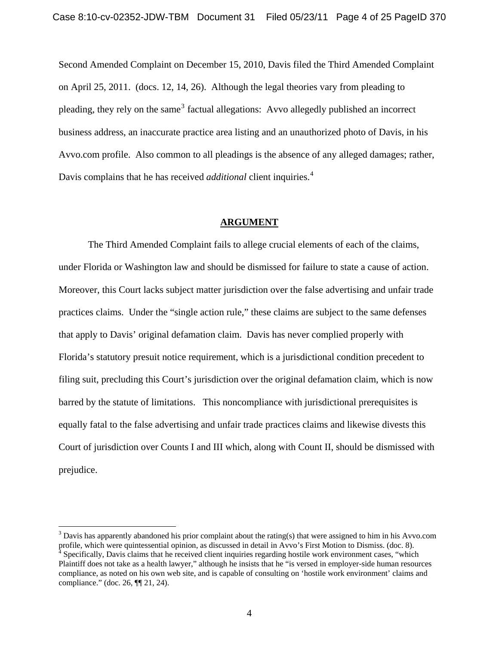Second Amended Complaint on December 15, 2010, Davis filed the Third Amended Complaint on April 25, 2011. (docs. 12, 14, 26). Although the legal theories vary from pleading to pleading, they rely on the same<sup>[3](#page-1-1)</sup> factual allegations: Avvo allegedly published an incorrect business address, an inaccurate practice area listing and an unauthorized photo of Davis, in his Avvo.com profile. Also common to all pleadings is the absence of any alleged damages; rather, Davis complains that he has received *additional* client inquiries.[4](#page-3-0)

#### **ARGUMENT**

 The Third Amended Complaint fails to allege crucial elements of each of the claims, under Florida or Washington law and should be dismissed for failure to state a cause of action. Moreover, this Court lacks subject matter jurisdiction over the false advertising and unfair trade practices claims. Under the "single action rule," these claims are subject to the same defenses that apply to Davis' original defamation claim. Davis has never complied properly with Florida's statutory presuit notice requirement, which is a jurisdictional condition precedent to filing suit, precluding this Court's jurisdiction over the original defamation claim, which is now barred by the statute of limitations. This noncompliance with jurisdictional prerequisites is equally fatal to the false advertising and unfair trade practices claims and likewise divests this Court of jurisdiction over Counts I and III which, along with Count II, should be dismissed with prejudice.

<span id="page-3-1"></span><span id="page-3-0"></span> $3$  Davis has apparently abandoned his prior complaint about the rating(s) that were assigned to him in his Avvo.com profile, which were quintessential opinion, as discussed in detail in Avvo's First Motion to Dismiss. (doc. 8). Specifically, Davis claims that he received client inquiries regarding hostile work environment cases, "which Plaintiff does not take as a health lawyer," although he insists that he "is versed in employer-side human resources compliance, as noted on his own web site, and is capable of consulting on 'hostile work environment' claims and compliance." (doc. 26, ¶¶ 21, 24).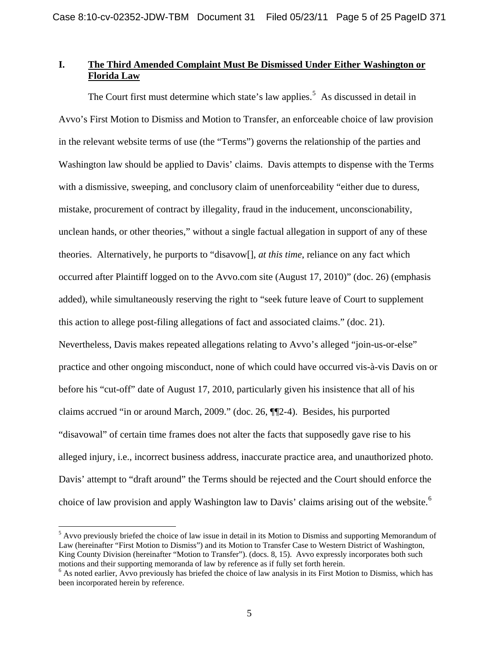# **I. The Third Amended Complaint Must Be Dismissed Under Either Washington or Florida Law**

The Court first must determine which state's law applies.<sup>[5](#page-3-1)</sup> As discussed in detail in Avvo's First Motion to Dismiss and Motion to Transfer, an enforceable choice of law provision in the relevant website terms of use (the "Terms") governs the relationship of the parties and Washington law should be applied to Davis' claims. Davis attempts to dispense with the Terms with a dismissive, sweeping, and conclusory claim of unenforceability "either due to duress, mistake, procurement of contract by illegality, fraud in the inducement, unconscionability, unclean hands, or other theories," without a single factual allegation in support of any of these theories. Alternatively, he purports to "disavow[], *at this time*, reliance on any fact which occurred after Plaintiff logged on to the Avvo.com site (August 17, 2010)" (doc. 26) (emphasis added), while simultaneously reserving the right to "seek future leave of Court to supplement this action to allege post-filing allegations of fact and associated claims." (doc. 21). Nevertheless, Davis makes repeated allegations relating to Avvo's alleged "join-us-or-else" practice and other ongoing misconduct, none of which could have occurred vis-à-vis Davis on or before his "cut-off" date of August 17, 2010, particularly given his insistence that all of his claims accrued "in or around March, 2009." (doc. 26, ¶¶2-4). Besides, his purported "disavowal" of certain time frames does not alter the facts that supposedly gave rise to his alleged injury, i.e., incorrect business address, inaccurate practice area, and unauthorized photo. Davis' attempt to "draft around" the Terms should be rejected and the Court should enforce the choice of law provision and apply Washington law to Davis' claims arising out of the website.<sup>[6](#page-4-0)</sup>

<sup>&</sup>lt;sup>5</sup> Avvo previously briefed the choice of law issue in detail in its Motion to Dismiss and supporting Memorandum of Law (hereinafter "First Motion to Dismiss") and its Motion to Transfer Case to Western District of Washington, King County Division (hereinafter "Motion to Transfer"). (docs. 8, 15). Avvo expressly incorporates both such motions and their supporting memoranda of law by reference as if fully set forth herein.

<span id="page-4-1"></span><span id="page-4-0"></span><sup>&</sup>lt;sup>6</sup> As noted earlier, Avvo previously has briefed the choice of law analysis in its First Motion to Dismiss, which has been incorporated herein by reference.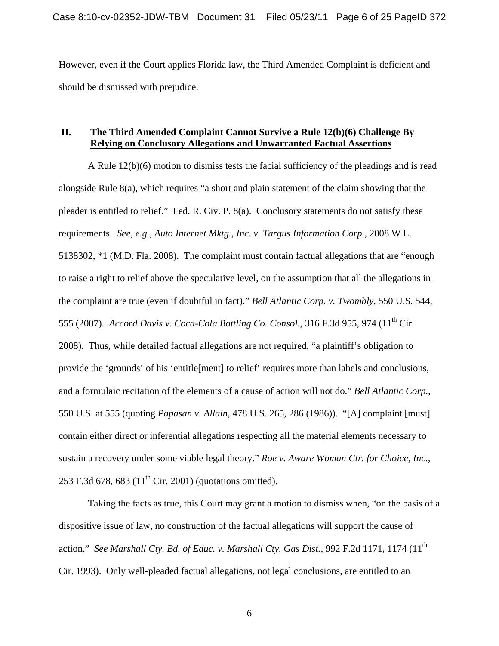However, even if the Court applies Florida law, the Third Amended Complaint is deficient and should be dismissed with prejudice.

# **II. The Third Amended Complaint Cannot Survive a Rule 12(b)(6) Challenge By Relying on Conclusory Allegations and Unwarranted Factual Assertions**

A Rule 12(b)(6) motion to dismiss tests the facial sufficiency of the pleadings and is read alongside Rule 8(a), which requires "a short and plain statement of the claim showing that the pleader is entitled to relief." Fed. R. Civ. P. 8(a). Conclusory statements do not satisfy these requirements. *See, e.g., Auto Internet Mktg., Inc. v. Targus Information Corp.,* 2008 W.L. 5138302, \*1 (M.D. Fla. 2008). The complaint must contain factual allegations that are "enough to raise a right to relief above the speculative level, on the assumption that all the allegations in the complaint are true (even if doubtful in fact)." *Bell Atlantic Corp. v. Twombly*, 550 U.S. 544, 555 (2007). *Accord Davis v. Coca-Cola Bottling Co. Consol.*, 316 F.3d 955, 974 (11<sup>th</sup> Cir. 2008). Thus, while detailed factual allegations are not required, "a plaintiff's obligation to provide the 'grounds' of his 'entitle[ment] to relief' requires more than labels and conclusions, and a formulaic recitation of the elements of a cause of action will not do." *Bell Atlantic Corp.*, 550 U.S. at 555 (quoting *Papasan v. Allain*, 478 U.S. 265, 286 (1986)). "[A] complaint [must] contain either direct or inferential allegations respecting all the material elements necessary to sustain a recovery under some viable legal theory." *Roe v. Aware Woman Ctr. for Choice, Inc.,* 253 F.3d 678, 683 ( $11^{th}$  Cir. 2001) (quotations omitted).

Taking the facts as true, this Court may grant a motion to dismiss when, "on the basis of a dispositive issue of law, no construction of the factual allegations will support the cause of action." *See Marshall Cty. Bd. of Educ. v. Marshall Cty. Gas Dist.*, 992 F.2d 1171, 1174 (11<sup>th</sup> Cir. 1993). Only well-pleaded factual allegations, not legal conclusions, are entitled to an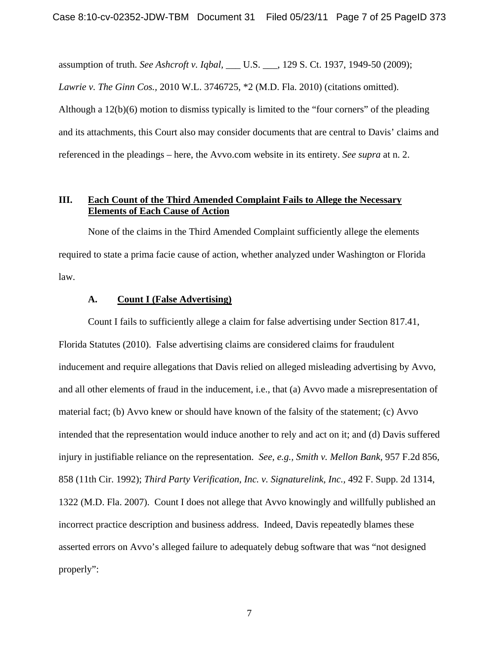assumption of truth. *See Ashcroft v. Iqbal,* \_\_\_ U.S. \_\_\_, 129 S. Ct. 1937, 1949-50 (2009);

*Lawrie v. The Ginn Cos.,* 2010 W.L. 3746725, \*2 (M.D. Fla. 2010) (citations omitted).

Although a 12(b)(6) motion to dismiss typically is limited to the "four corners" of the pleading and its attachments, this Court also may consider documents that are central to Davis' claims and referenced in the pleadings – here, the Avvo.com website in its entirety. *See supra* at n. 2.

## **III. Each Count of the Third Amended Complaint Fails to Allege the Necessary Elements of Each Cause of Action**

None of the claims in the Third Amended Complaint sufficiently allege the elements required to state a prima facie cause of action, whether analyzed under Washington or Florida law.

#### **A. Count I (False Advertising)**

Count I fails to sufficiently allege a claim for false advertising under Section 817.41, Florida Statutes (2010). False advertising claims are considered claims for fraudulent inducement and require allegations that Davis relied on alleged misleading advertising by Avvo, and all other elements of fraud in the inducement, i.e., that (a) Avvo made a misrepresentation of material fact; (b) Avvo knew or should have known of the falsity of the statement; (c) Avvo intended that the representation would induce another to rely and act on it; and (d) Davis suffered injury in justifiable reliance on the representation. *See, e.g., Smith v. Mellon Bank,* 957 F.2d 856, 858 (11th Cir. 1992); *Third Party Verification, Inc. v. Signaturelink, Inc.,* 492 F. Supp. 2d 1314, 1322 (M.D. Fla. 2007). Count I does not allege that Avvo knowingly and willfully published an incorrect practice description and business address. Indeed, Davis repeatedly blames these asserted errors on Avvo's alleged failure to adequately debug software that was "not designed properly":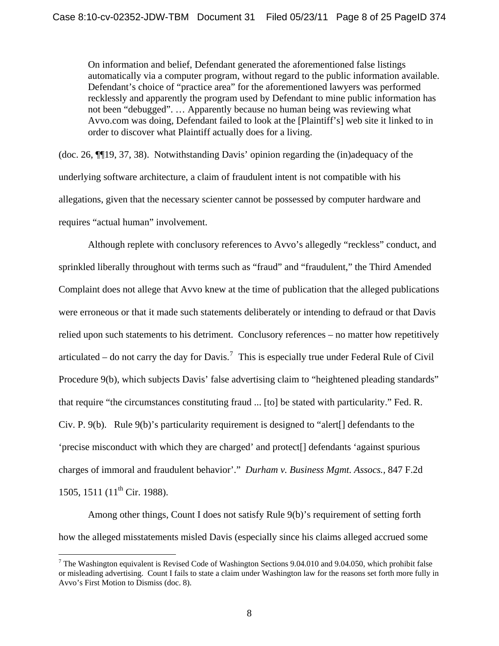On information and belief, Defendant generated the aforementioned false listings automatically via a computer program, without regard to the public information available. Defendant's choice of "practice area" for the aforementioned lawyers was performed recklessly and apparently the program used by Defendant to mine public information has not been "debugged". … Apparently because no human being was reviewing what Avvo.com was doing, Defendant failed to look at the [Plaintiff's] web site it linked to in order to discover what Plaintiff actually does for a living.

(doc. 26, ¶¶19, 37, 38). Notwithstanding Davis' opinion regarding the (in)adequacy of the underlying software architecture, a claim of fraudulent intent is not compatible with his allegations, given that the necessary scienter cannot be possessed by computer hardware and requires "actual human" involvement.

Although replete with conclusory references to Avvo's allegedly "reckless" conduct, and sprinkled liberally throughout with terms such as "fraud" and "fraudulent," the Third Amended Complaint does not allege that Avvo knew at the time of publication that the alleged publications were erroneous or that it made such statements deliberately or intending to defraud or that Davis relied upon such statements to his detriment. Conclusory references – no matter how repetitively articulated – do not carry the day for Davis.<sup>[7](#page-4-1)</sup> This is especially true under Federal Rule of Civil Procedure 9(b), which subjects Davis' false advertising claim to "heightened pleading standards" that require "the circumstances constituting fraud ... [to] be stated with particularity." Fed. R. Civ. P. 9(b). Rule 9(b)'s particularity requirement is designed to "alert[] defendants to the 'precise misconduct with which they are charged' and protect[] defendants 'against spurious charges of immoral and fraudulent behavior'." *Durham v. Business Mgmt. Assocs.,* 847 F.2d 1505, 1511 (11<sup>th</sup> Cir. 1988).

<span id="page-7-0"></span>Among other things, Count I does not satisfy Rule 9(b)'s requirement of setting forth how the alleged misstatements misled Davis (especially since his claims alleged accrued some

<sup>&</sup>lt;sup>7</sup> The Washington equivalent is Revised Code of Washington Sections 9.04.010 and 9.04.050, which prohibit false or misleading advertising. Count I fails to state a claim under Washington law for the reasons set forth more fully in Avvo's First Motion to Dismiss (doc. 8).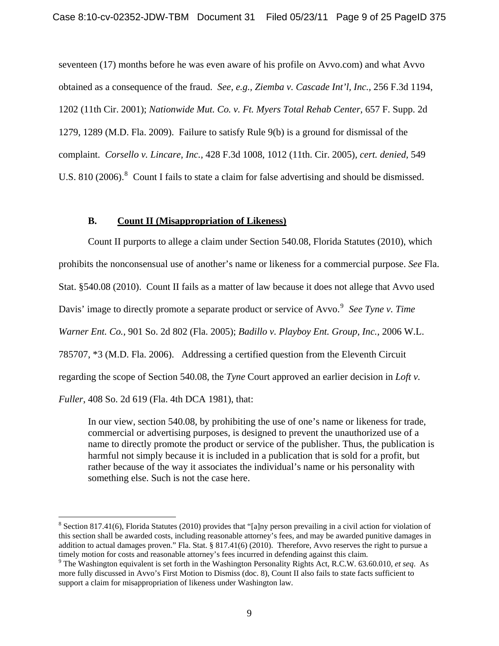seventeen (17) months before he was even aware of his profile on Avvo.com) and what Avvo obtained as a consequence of the fraud. *See, e.g., Ziemba v. Cascade Int'l, Inc.,* 256 F.3d 1194, 1202 (11th Cir. 2001); *Nationwide Mut. Co. v. Ft. Myers Total Rehab Center,* 657 F. Supp. 2d 1279, 1289 (M.D. Fla. 2009). Failure to satisfy Rule 9(b) is a ground for dismissal of the complaint. *Corsello v. Lincare, Inc.,* 428 F.3d 1008, 1012 (11th. Cir. 2005), *cert. denied,* 549 U.S. [8](#page-7-0)10 (2006).<sup>8</sup> Count I fails to state a claim for false advertising and should be dismissed.

### **B. Count II (Misappropriation of Likeness)**

Count II purports to allege a claim under Section 540.08, Florida Statutes (2010), which prohibits the nonconsensual use of another's name or likeness for a commercial purpose. *See* Fla. Stat. §540.08 (2010). Count II fails as a matter of law because it does not allege that Avvo used Davis' image to directly promote a separate product or service of Avvo.<sup>[9](#page-8-0)</sup> See Tyne v. Time *Warner Ent. Co.,* 901 So. 2d 802 (Fla. 2005); *Badillo v. Playboy Ent. Group, Inc.,* 2006 W.L. 785707, \*3 (M.D. Fla. 2006). Addressing a certified question from the Eleventh Circuit regarding the scope of Section 540.08, the *Tyne* Court approved an earlier decision in *Loft v.* 

*Fuller*, 408 So. 2d 619 (Fla. 4th DCA 1981), that:

<span id="page-8-1"></span><u>.</u>

In our view, section 540.08, by prohibiting the use of one's name or likeness for trade, commercial or advertising purposes, is designed to prevent the unauthorized use of a name to directly promote the product or service of the publisher. Thus, the publication is harmful not simply because it is included in a publication that is sold for a profit, but rather because of the way it associates the individual's name or his personality with something else. Such is not the case here.

 $8$  Section 817.41(6), Florida Statutes (2010) provides that "[a]ny person prevailing in a civil action for violation of this section shall be awarded costs, including reasonable attorney's fees, and may be awarded punitive damages in addition to actual damages proven." Fla. Stat. § 817.41(6) (2010). Therefore, Avvo reserves the right to pursue a timely motion for costs and reasonable attorney's fees incurred in defending against this claim. 9

<span id="page-8-0"></span>The Washington equivalent is set forth in the Washington Personality Rights Act, R.C.W. 63.60.010, *et seq*. As more fully discussed in Avvo's First Motion to Dismiss (doc. 8), Count II also fails to state facts sufficient to support a claim for misappropriation of likeness under Washington law.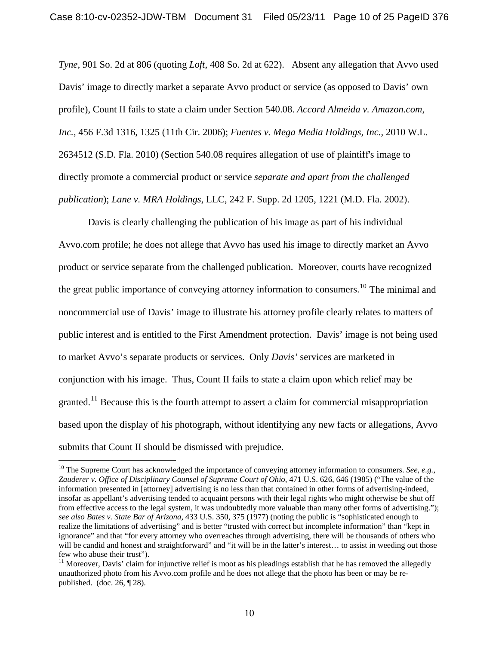*Tyne*, 901 So. 2d at 806 (quoting *Loft*, 408 So. 2d at 622). Absent any allegation that Avvo used Davis' image to directly market a separate Avvo product or service (as opposed to Davis' own profile), Count II fails to state a claim under Section 540.08. *Accord Almeida v. Amazon.com, Inc.,* 456 F.3d 1316, 1325 (11th Cir. 2006); *Fuentes v. Mega Media Holdings, Inc.,* 2010 W.L. 2634512 (S.D. Fla. 2010) (Section 540.08 requires allegation of use of plaintiff's image to directly promote a commercial product or service *separate and apart from the challenged publication*); *Lane v. MRA Holdings,* LLC, 242 F. Supp. 2d 1205, 1221 (M.D. Fla. 2002).

Davis is clearly challenging the publication of his image as part of his individual Avvo.com profile; he does not allege that Avvo has used his image to directly market an Avvo product or service separate from the challenged publication. Moreover, courts have recognized the great public importance of conveying attorney information to consumers.<sup>[10](#page-8-1)</sup> The minimal and noncommercial use of Davis' image to illustrate his attorney profile clearly relates to matters of public interest and is entitled to the First Amendment protection. Davis' image is not being used to market Avvo's separate products or services. Only *Davis'* services are marketed in conjunction with his image. Thus, Count II fails to state a claim upon which relief may be granted.<sup>[11](#page-9-0)</sup> Because this is the fourth attempt to assert a claim for commercial misappropriation based upon the display of his photograph, without identifying any new facts or allegations, Avvo submits that Count II should be dismissed with prejudice.

<sup>&</sup>lt;sup>10</sup> The Supreme Court has acknowledged the importance of conveying attorney information to consumers. *See, e.g., Zauderer v. Office of Disciplinary Counsel of Supreme Court of Ohio*, 471 U.S. 626, 646 (1985) ("The value of the information presented in [attorney] advertising is no less than that contained in other forms of advertising-indeed, insofar as appellant's advertising tended to acquaint persons with their legal rights who might otherwise be shut off from effective access to the legal system, it was undoubtedly more valuable than many other forms of advertising."); *see also Bates v. State Bar of Arizona,* 433 U.S. 350, 375 (1977) (noting the public is "sophisticated enough to realize the limitations of advertising" and is better "trusted with correct but incomplete information" than "kept in ignorance" and that "for every attorney who overreaches through advertising, there will be thousands of others who will be candid and honest and straightforward" and "it will be in the latter's interest... to assist in weeding out those few who abuse their trust").

<span id="page-9-0"></span><sup>&</sup>lt;sup>11</sup> Moreover, Davis' claim for injunctive relief is moot as his pleadings establish that he has removed the allegedly unauthorized photo from his Avvo.com profile and he does not allege that the photo has been or may be republished. (doc. 26, ¶ 28).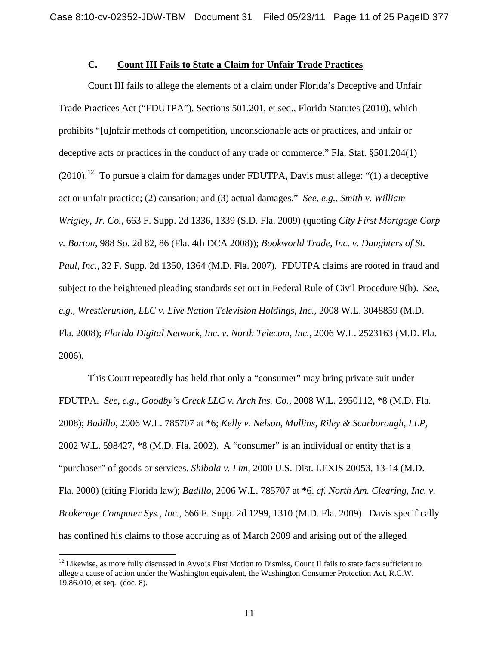## **C. Count III Fails to State a Claim for Unfair Trade Practices**

Count III fails to allege the elements of a claim under Florida's Deceptive and Unfair Trade Practices Act ("FDUTPA"), Sections 501.201, et seq., Florida Statutes (2010), which prohibits "[u]nfair methods of competition, unconscionable acts or practices, and unfair or deceptive acts or practices in the conduct of any trade or commerce." Fla. Stat. §501.204(1)  $(2010).$ <sup>[12](#page-9-0)</sup> To pursue a claim for damages under FDUTPA, Davis must allege: "(1) a deceptive act or unfair practice; (2) causation; and (3) actual damages." *See, e.g., Smith v. William Wrigley, Jr. Co.,* 663 F. Supp. 2d 1336, 1339 (S.D. Fla. 2009) (quoting *City First Mortgage Corp v. Barton*, 988 So. 2d 82, 86 (Fla. 4th DCA 2008)); *Bookworld Trade, Inc. v. Daughters of St. Paul, Inc.,* 32 F. Supp. 2d 1350, 1364 (M.D. Fla. 2007). FDUTPA claims are rooted in fraud and subject to the heightened pleading standards set out in Federal Rule of Civil Procedure 9(b). *See, e.g., Wrestlerunion, LLC v. Live Nation Television Holdings, Inc.,* 2008 W.L. 3048859 (M.D. Fla. 2008); *Florida Digital Network, Inc. v. North Telecom, Inc.,* 2006 W.L. 2523163 (M.D. Fla. 2006).

This Court repeatedly has held that only a "consumer" may bring private suit under FDUTPA. *See, e.g., Goodby's Creek LLC v. Arch Ins. Co.,* 2008 W.L. 2950112, \*8 (M.D. Fla. 2008); *Badillo,* 2006 W.L. 785707 at \*6; *Kelly v. Nelson, Mullins, Riley & Scarborough, LLP,* 2002 W.L. 598427, \*8 (M.D. Fla. 2002). A "consumer" is an individual or entity that is a "purchaser" of goods or services. *Shibala v. Lim,* 2000 U.S. Dist. LEXIS 20053, 13-14 (M.D. Fla. 2000) (citing Florida law); *Badillo,* 2006 W.L. 785707 at \*6. *cf. North Am. Clearing, Inc. v. Brokerage Computer Sys., Inc.,* 666 F. Supp. 2d 1299, 1310 (M.D. Fla. 2009). Davis specifically has confined his claims to those accruing as of March 2009 and arising out of the alleged

<span id="page-10-0"></span> $12$  Likewise, as more fully discussed in Avvo's First Motion to Dismiss, Count II fails to state facts sufficient to allege a cause of action under the Washington equivalent, the Washington Consumer Protection Act, R.C.W. 19.86.010, et seq. (doc. 8).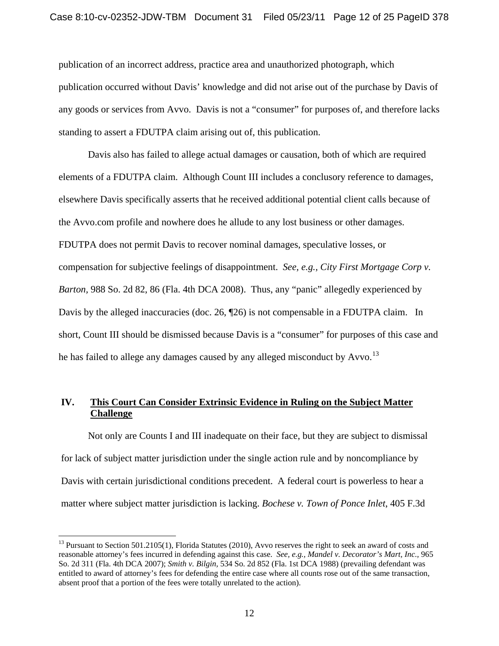publication of an incorrect address, practice area and unauthorized photograph, which publication occurred without Davis' knowledge and did not arise out of the purchase by Davis of any goods or services from Avvo. Davis is not a "consumer" for purposes of, and therefore lacks standing to assert a FDUTPA claim arising out of, this publication.

Davis also has failed to allege actual damages or causation, both of which are required elements of a FDUTPA claim. Although Count III includes a conclusory reference to damages, elsewhere Davis specifically asserts that he received additional potential client calls because of the Avvo.com profile and nowhere does he allude to any lost business or other damages. FDUTPA does not permit Davis to recover nominal damages, speculative losses, or compensation for subjective feelings of disappointment. *See, e.g., City First Mortgage Corp v. Barton,* 988 So. 2d 82, 86 (Fla. 4th DCA 2008). Thus, any "panic" allegedly experienced by Davis by the alleged inaccuracies (doc. 26,  $\sqrt{26}$ ) is not compensable in a FDUTPA claim. In short, Count III should be dismissed because Davis is a "consumer" for purposes of this case and he has failed to allege any damages caused by any alleged misconduct by Avvo.<sup>[13](#page-10-0)</sup>

# **IV. This Court Can Consider Extrinsic Evidence in Ruling on the Subject Matter Challenge**

Not only are Counts I and III inadequate on their face, but they are subject to dismissal for lack of subject matter jurisdiction under the single action rule and by noncompliance by Davis with certain jurisdictional conditions precedent. A federal court is powerless to hear a matter where subject matter jurisdiction is lacking. *Bochese v. Town of Ponce Inlet*, 405 F.3d

<span id="page-11-0"></span><sup>&</sup>lt;sup>13</sup> Pursuant to Section 501.2105(1), Florida Statutes (2010), Avvo reserves the right to seek an award of costs and reasonable attorney's fees incurred in defending against this case. *See, e.g., Mandel v. Decorator's Mart, Inc.,* 965 So. 2d 311 (Fla. 4th DCA 2007); *Smith v. Bilgin,* 534 So. 2d 852 (Fla. 1st DCA 1988) (prevailing defendant was entitled to award of attorney's fees for defending the entire case where all counts rose out of the same transaction, absent proof that a portion of the fees were totally unrelated to the action).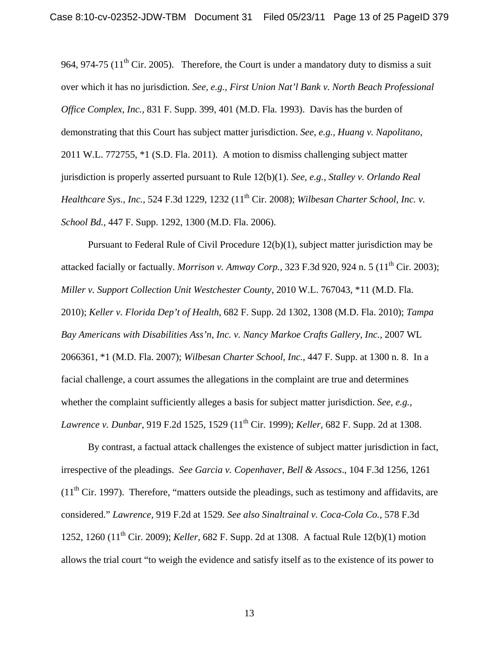964, 974-75 ( $11<sup>th</sup>$  Cir. 2005). Therefore, the Court is under a mandatory duty to dismiss a suit over which it has no jurisdiction. *See, e.g., First Union Nat'l Bank v. North Beach Professional Office Complex, Inc.,* 831 F. Supp. 399, 401 (M.D. Fla. 1993).Davis has the burden of demonstrating that this Court has subject matter jurisdiction. *See, e.g., Huang v. Napolitano*, 2011 W.L. 772755, \*1 (S.D. Fla. 2011). A motion to dismiss challenging subject matter jurisdiction is properly asserted pursuant to Rule 12(b)(1). *See, e.g., Stalley v. Orlando Real Healthcare Sys., Inc., 524 F.3d 1229, 1232 (11<sup>th</sup> Cir. 2008); <i>Wilbesan Charter School, Inc. v. School Bd.,* 447 F. Supp. 1292, 1300 (M.D. Fla. 2006).

Pursuant to Federal Rule of Civil Procedure 12(b)(1), subject matter jurisdiction may be attacked facially or factually. *Morrison v. Amway Corp.*, 323 F.3d 920, 924 n. 5 (11<sup>th</sup> Cir. 2003): *Miller v. Support Collection Unit Westchester County*, 2010 W.L. 767043, \*11 (M.D. Fla. 2010); *Keller v. Florida Dep't of Health*, 682 F. Supp. 2d 1302, 1308 (M.D. Fla. 2010); *Tampa Bay Americans with Disabilities Ass'n, Inc. v. Nancy Markoe Crafts Gallery, Inc.,* 2007 WL 2066361, \*1 (M.D. Fla. 2007); *Wilbesan Charter School, Inc.,* 447 F. Supp. at 1300 n. 8. In a facial challenge, a court assumes the allegations in the complaint are true and determines whether the complaint sufficiently alleges a basis for subject matter jurisdiction. *See, e.g., Lawrence v. Dunbar*, 919 F.2d 1525, 1529 (11<sup>th</sup> Cir. 1999); *Keller*, 682 F. Supp. 2d at 1308.

By contrast, a factual attack challenges the existence of subject matter jurisdiction in fact, irrespective of the pleadings. *See Garcia v. Copenhaver, Bell & Assocs*., 104 F.3d 1256, 1261  $(11<sup>th</sup> Cir. 1997)$ . Therefore, "matters outside the pleadings, such as testimony and affidavits, are considered." *Lawrence,* 919 F.2d at 1529*. See also Sinaltrainal v. Coca-Cola Co.,* 578 F.3d 1252, 1260 (11th Cir. 2009); *Keller,* 682 F. Supp. 2d at 1308. A factual Rule 12(b)(1) motion allows the trial court "to weigh the evidence and satisfy itself as to the existence of its power to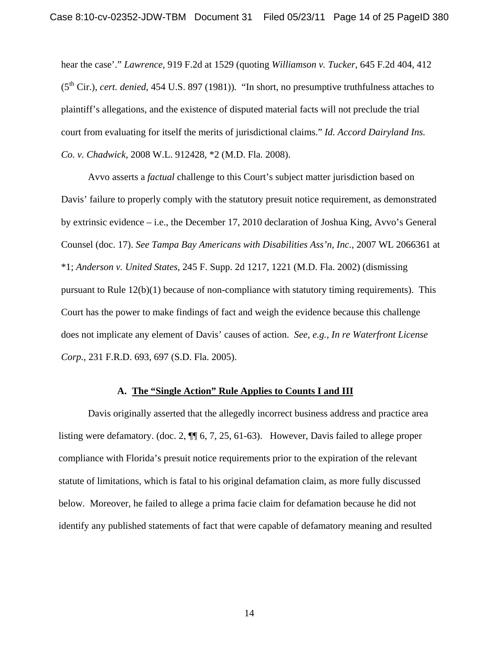hear the case'." *Lawrence,* 919 F.2d at 1529 (quoting *Williamson v. Tucker*, 645 F.2d 404, 412 (5th Cir.), *cert. denied*, 454 U.S. 897 (1981))*.* "In short, no presumptive truthfulness attaches to plaintiff's allegations, and the existence of disputed material facts will not preclude the trial court from evaluating for itself the merits of jurisdictional claims." *Id. Accord Dairyland Ins. Co. v. Chadwick,* 2008 W.L. 912428, \*2 (M.D. Fla. 2008).

Avvo asserts a *factual* challenge to this Court's subject matter jurisdiction based on Davis' failure to properly comply with the statutory presuit notice requirement, as demonstrated by extrinsic evidence – i.e., the December 17, 2010 declaration of Joshua King, Avvo's General Counsel (doc. 17). *See Tampa Bay Americans with Disabilities Ass'n, Inc.,* 2007 WL 2066361 at \*1; *Anderson v. United States*, 245 F. Supp. 2d 1217, 1221 (M.D. Fla. 2002) (dismissing pursuant to Rule 12(b)(1) because of non-compliance with statutory timing requirements). This Court has the power to make findings of fact and weigh the evidence because this challenge does not implicate any element of Davis' causes of action. *See, e.g., In re Waterfront License Corp.,* 231 F.R.D. 693, 697 (S.D. Fla. 2005).

#### **A. The "Single Action" Rule Applies to Counts I and III**

Davis originally asserted that the allegedly incorrect business address and practice area listing were defamatory. (doc. 2, ¶¶ 6, 7, 25, 61-63). However, Davis failed to allege proper compliance with Florida's presuit notice requirements prior to the expiration of the relevant statute of limitations, which is fatal to his original defamation claim, as more fully discussed below. Moreover, he failed to allege a prima facie claim for defamation because he did not identify any published statements of fact that were capable of defamatory meaning and resulted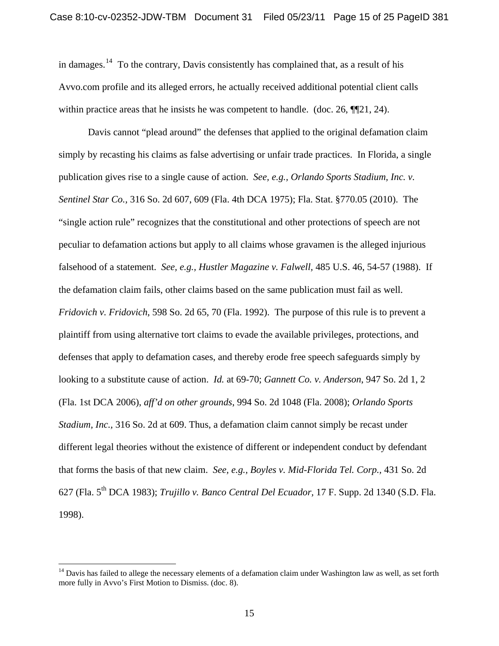in damages.<sup>[14](#page-11-0)</sup> To the contrary, Davis consistently has complained that, as a result of his Avvo.com profile and its alleged errors, he actually received additional potential client calls within practice areas that he insists he was competent to handle. (doc. 26,  $\P$ 21, 24).

Davis cannot "plead around" the defenses that applied to the original defamation claim simply by recasting his claims as false advertising or unfair trade practices. In Florida, a single publication gives rise to a single cause of action. *See, e.g., Orlando Sports Stadium, Inc. v. Sentinel Star Co.,* 316 So. 2d 607, 609 (Fla. 4th DCA 1975); Fla. Stat. §770.05 (2010). The "single action rule" recognizes that the constitutional and other protections of speech are not peculiar to defamation actions but apply to all claims whose gravamen is the alleged injurious falsehood of a statement. *See, e.g., Hustler Magazine v. Falwell,* 485 U.S. 46, 54-57 (1988). If the defamation claim fails, other claims based on the same publication must fail as well. *Fridovich v. Fridovich*, 598 So. 2d 65, 70 (Fla. 1992). The purpose of this rule is to prevent a plaintiff from using alternative tort claims to evade the available privileges, protections, and defenses that apply to defamation cases, and thereby erode free speech safeguards simply by looking to a substitute cause of action. *Id.* at 69-70; *Gannett Co. v. Anderson*, 947 So. 2d 1, 2 (Fla. 1st DCA 2006), *aff'd on other grounds*, 994 So. 2d 1048 (Fla. 2008); *Orlando Sports Stadium, Inc.,* 316 So. 2d at 609. Thus, a defamation claim cannot simply be recast under different legal theories without the existence of different or independent conduct by defendant that forms the basis of that new claim. *See, e.g., Boyles v. Mid-Florida Tel. Corp.,* 431 So. 2d 627 (Fla. 5th DCA 1983); *Trujillo v. Banco Central Del Ecuador,* 17 F. Supp. 2d 1340 (S.D. Fla. 1998).

<span id="page-14-0"></span><sup>&</sup>lt;sup>14</sup> Davis has failed to allege the necessary elements of a defamation claim under Washington law as well, as set forth more fully in Avvo's First Motion to Dismiss. (doc. 8).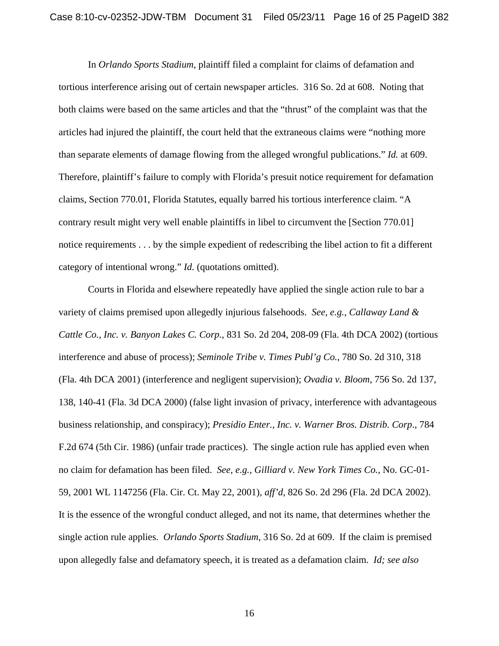In *Orlando Sports Stadium*, plaintiff filed a complaint for claims of defamation and tortious interference arising out of certain newspaper articles. 316 So. 2d at 608. Noting that both claims were based on the same articles and that the "thrust" of the complaint was that the articles had injured the plaintiff, the court held that the extraneous claims were "nothing more than separate elements of damage flowing from the alleged wrongful publications." *Id.* at 609. Therefore, plaintiff's failure to comply with Florida's presuit notice requirement for defamation claims, Section 770.01, Florida Statutes, equally barred his tortious interference claim. "A contrary result might very well enable plaintiffs in libel to circumvent the [Section 770.01] notice requirements . . . by the simple expedient of redescribing the libel action to fit a different category of intentional wrong." *Id.* (quotations omitted).

Courts in Florida and elsewhere repeatedly have applied the single action rule to bar a variety of claims premised upon allegedly injurious falsehoods. *See, e.g., Callaway Land & Cattle Co., Inc. v. Banyon Lakes C. Corp.*, 831 So. 2d 204, 208-09 (Fla. 4th DCA 2002) (tortious interference and abuse of process); *Seminole Tribe v. Times Publ'g Co.*, 780 So. 2d 310, 318 (Fla. 4th DCA 2001) (interference and negligent supervision); *Ovadia v. Bloom*, 756 So. 2d 137, 138, 140-41 (Fla. 3d DCA 2000) (false light invasion of privacy, interference with advantageous business relationship, and conspiracy); *Presidio Enter., Inc. v. Warner Bros. Distrib. Corp*., 784 F.2d 674 (5th Cir. 1986) (unfair trade practices). The single action rule has applied even when no claim for defamation has been filed. *See, e.g., Gilliard v. New York Times Co.*, No. GC-01- 59, 2001 WL 1147256 (Fla. Cir. Ct. May 22, 2001), *aff'd*, 826 So. 2d 296 (Fla. 2d DCA 2002). It is the essence of the wrongful conduct alleged, and not its name, that determines whether the single action rule applies. *Orlando Sports Stadium*, 316 So. 2d at 609. If the claim is premised upon allegedly false and defamatory speech, it is treated as a defamation claim. *Id; see also*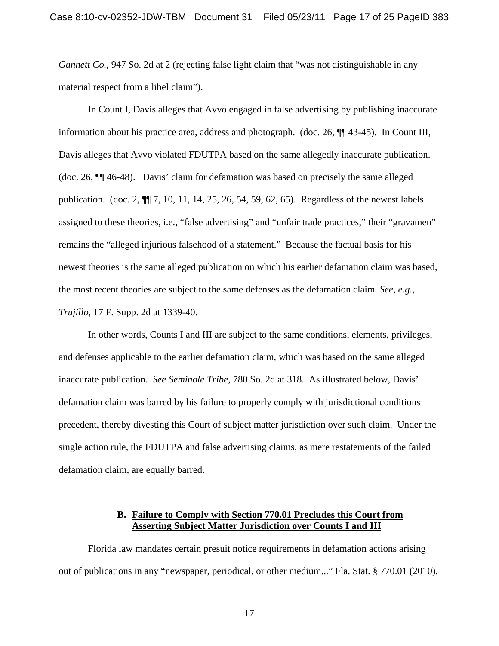*Gannett Co.*, 947 So. 2d at 2 (rejecting false light claim that "was not distinguishable in any material respect from a libel claim").

In Count I, Davis alleges that Avvo engaged in false advertising by publishing inaccurate information about his practice area, address and photograph. (doc. 26, ¶¶ 43-45). In Count III, Davis alleges that Avvo violated FDUTPA based on the same allegedly inaccurate publication. (doc. 26, ¶¶ 46-48). Davis' claim for defamation was based on precisely the same alleged publication. (doc. 2, ¶¶ 7, 10, 11, 14, 25, 26, 54, 59, 62, 65). Regardless of the newest labels assigned to these theories, i.e., "false advertising" and "unfair trade practices," their "gravamen" remains the "alleged injurious falsehood of a statement." Because the factual basis for his newest theories is the same alleged publication on which his earlier defamation claim was based, the most recent theories are subject to the same defenses as the defamation claim. *See, e.g., Trujillo*, 17 F. Supp. 2d at 1339-40.

In other words, Counts I and III are subject to the same conditions, elements, privileges, and defenses applicable to the earlier defamation claim, which was based on the same alleged inaccurate publication. *See Seminole Tribe*, 780 So. 2d at 318. As illustrated below, Davis' defamation claim was barred by his failure to properly comply with jurisdictional conditions precedent, thereby divesting this Court of subject matter jurisdiction over such claim. Under the single action rule, the FDUTPA and false advertising claims, as mere restatements of the failed defamation claim, are equally barred.

#### **B. Failure to Comply with Section 770.01 Precludes this Court from Asserting Subject Matter Jurisdiction over Counts I and III**

Florida law mandates certain presuit notice requirements in defamation actions arising out of publications in any "newspaper, periodical, or other medium..." Fla. Stat. § 770.01 (2010).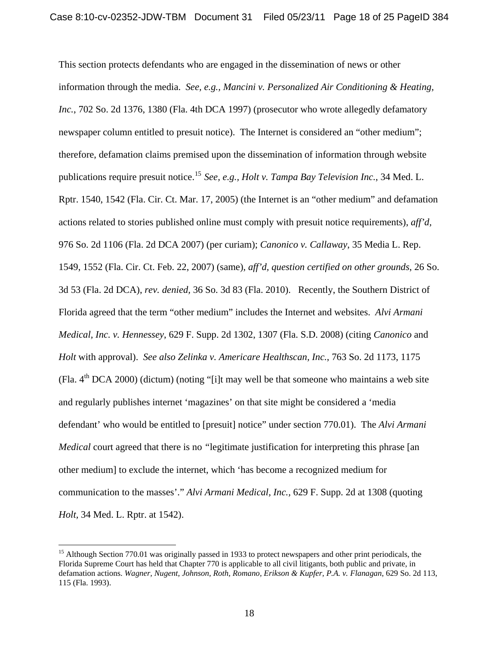This section protects defendants who are engaged in the dissemination of news or other information through the media. *See, e.g., Mancini v. Personalized Air Conditioning & Heating, Inc.*, 702 So. 2d 1376, 1380 (Fla. 4th DCA 1997) (prosecutor who wrote allegedly defamatory newspaper column entitled to presuit notice). The Internet is considered an "other medium"; therefore, defamation claims premised upon the dissemination of information through website publications require presuit notice.[15](#page-14-0) *See, e.g., Holt v. Tampa Bay Television Inc.*, 34 Med. L. Rptr. 1540, 1542 (Fla. Cir. Ct. Mar. 17, 2005) (the Internet is an "other medium" and defamation actions related to stories published online must comply with presuit notice requirements), *aff'd,* 976 So. 2d 1106 (Fla. 2d DCA 2007) (per curiam); *Canonico v. Callaway*, 35 Media L. Rep. 1549, 1552 (Fla. Cir. Ct. Feb. 22, 2007) (same), *aff'd, question certified on other grounds*, 26 So. 3d 53 (Fla. 2d DCA), *rev. denied,* 36 So. 3d 83 (Fla. 2010). Recently, the Southern District of Florida agreed that the term "other medium" includes the Internet and websites. *Alvi Armani Medical, Inc. v. Hennessey*, 629 F. Supp. 2d 1302, 1307 (Fla. S.D. 2008) (citing *Canonico* and *Holt* with approval). *See also Zelinka v. Americare Healthscan, Inc.*, 763 So. 2d 1173, 1175 (Fla.  $4<sup>th</sup> DCA 2000$ ) (dictum) (noting "[i]t may well be that someone who maintains a web site and regularly publishes internet 'magazines' on that site might be considered a 'media defendant' who would be entitled to [presuit] notice" under section 770.01). The *Alvi Armani Medical* court agreed that there is no *"*legitimate justification for interpreting this phrase [an other medium] to exclude the internet, which 'has become a recognized medium for communication to the masses'." *Alvi Armani Medical, Inc.,* 629 F. Supp. 2d at 1308 (quoting *Holt,* 34 Med. L. Rptr. at 1542).

<u>.</u>

<span id="page-17-0"></span><sup>&</sup>lt;sup>15</sup> Although Section 770.01 was originally passed in 1933 to protect newspapers and other print periodicals, the Florida Supreme Court has held that Chapter 770 is applicable to all civil litigants, both public and private, in defamation actions. *Wagner, Nugent, Johnson, Roth, Romano, Erikson & Kupfer, P.A. v. Flanagan*, 629 So. 2d 113, 115 (Fla. 1993).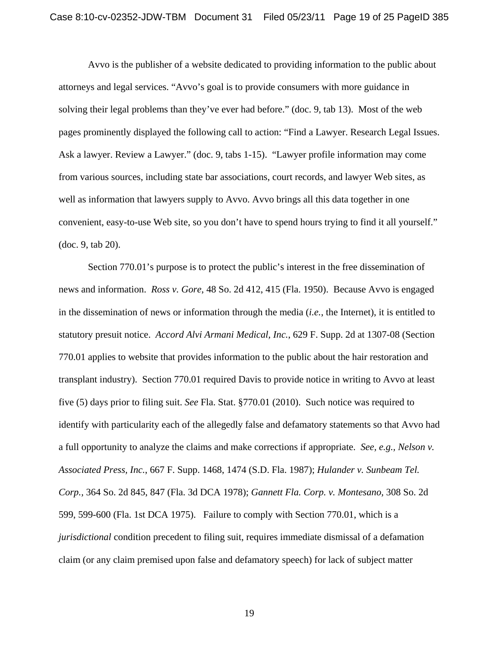Avvo is the publisher of a website dedicated to providing information to the public about attorneys and legal services. "Avvo's goal is to provide consumers with more guidance in solving their legal problems than they've ever had before." (doc. 9, tab 13). Most of the web pages prominently displayed the following call to action: "Find a Lawyer. Research Legal Issues. Ask a lawyer. Review a Lawyer." (doc. 9, tabs 1-15). "Lawyer profile information may come from various sources, including state bar associations, court records, and lawyer Web sites, as well as information that lawyers supply to Avvo. Avvo brings all this data together in one convenient, easy-to-use Web site, so you don't have to spend hours trying to find it all yourself." (doc. 9, tab 20).

Section 770.01's purpose is to protect the public's interest in the free dissemination of news and information. *Ross v. Gore*, 48 So. 2d 412, 415 (Fla. 1950). Because Avvo is engaged in the dissemination of news or information through the media (*i.e.*, the Internet), it is entitled to statutory presuit notice. *Accord Alvi Armani Medical, Inc.*, 629 F. Supp. 2d at 1307-08 (Section 770.01 applies to website that provides information to the public about the hair restoration and transplant industry). Section 770.01 required Davis to provide notice in writing to Avvo at least five (5) days prior to filing suit. *See* Fla. Stat. §770.01 (2010). Such notice was required to identify with particularity each of the allegedly false and defamatory statements so that Avvo had a full opportunity to analyze the claims and make corrections if appropriate. *See, e.g., Nelson v. Associated Press, Inc.*, 667 F. Supp. 1468, 1474 (S.D. Fla. 1987); *Hulander v. Sunbeam Tel. Corp.,* 364 So. 2d 845, 847 (Fla. 3d DCA 1978); *Gannett Fla. Corp. v. Montesano,* 308 So. 2d 599, 599-600 (Fla. 1st DCA 1975). Failure to comply with Section 770.01, which is a *jurisdictional* condition precedent to filing suit, requires immediate dismissal of a defamation claim (or any claim premised upon false and defamatory speech) for lack of subject matter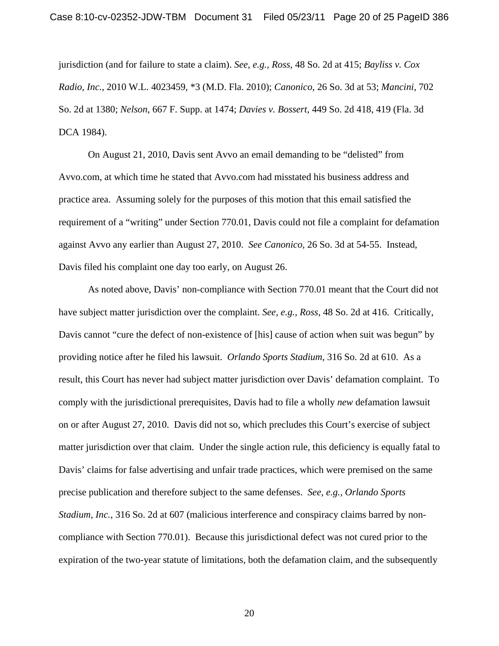jurisdiction (and for failure to state a claim). *See, e.g., Ross,* 48 So. 2d at 415; *Bayliss v. Cox Radio, Inc.*, 2010 W.L. 4023459, \*3 (M.D. Fla. 2010); *Canonico*, 26 So. 3d at 53; *Mancini*, 702 So. 2d at 1380; *Nelson*, 667 F. Supp. at 1474; *Davies v. Bossert*, 449 So. 2d 418, 419 (Fla. 3d DCA 1984).

On August 21, 2010, Davis sent Avvo an email demanding to be "delisted" from Avvo.com, at which time he stated that Avvo.com had misstated his business address and practice area. Assuming solely for the purposes of this motion that this email satisfied the requirement of a "writing" under Section 770.01, Davis could not file a complaint for defamation against Avvo any earlier than August 27, 2010. *See Canonico,* 26 So. 3d at 54-55. Instead, Davis filed his complaint one day too early, on August 26.

As noted above, Davis' non-compliance with Section 770.01 meant that the Court did not have subject matter jurisdiction over the complaint. *See, e.g., Ross*, 48 So. 2d at 416. Critically, Davis cannot "cure the defect of non-existence of [his] cause of action when suit was begun" by providing notice after he filed his lawsuit. *Orlando Sports Stadium*, 316 So. 2d at 610. As a result, this Court has never had subject matter jurisdiction over Davis' defamation complaint. To comply with the jurisdictional prerequisites, Davis had to file a wholly *new* defamation lawsuit on or after August 27, 2010. Davis did not so, which precludes this Court's exercise of subject matter jurisdiction over that claim. Under the single action rule, this deficiency is equally fatal to Davis' claims for false advertising and unfair trade practices, which were premised on the same precise publication and therefore subject to the same defenses. *See, e.g., Orlando Sports Stadium, Inc.*, 316 So. 2d at 607 (malicious interference and conspiracy claims barred by noncompliance with Section 770.01). Because this jurisdictional defect was not cured prior to the expiration of the two-year statute of limitations, both the defamation claim, and the subsequently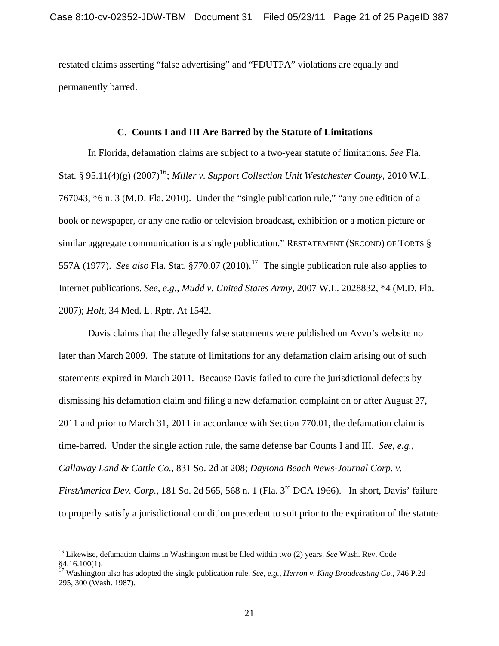restated claims asserting "false advertising" and "FDUTPA" violations are equally and permanently barred.

#### **C. Counts I and III Are Barred by the Statute of Limitations**

In Florida, defamation claims are subject to a two-year statute of limitations. *See* Fla. Stat. §  $95.11(4)(g)$  (2007)<sup>[16](#page-17-0)</sup>; *Miller v. Support Collection Unit Westchester County,* 2010 W.L. 767043, \*6 n. 3 (M.D. Fla. 2010). Under the "single publication rule," "any one edition of a book or newspaper, or any one radio or television broadcast, exhibition or a motion picture or similar aggregate communication is a single publication." RESTATEMENT (SECOND) OF TORTS § 557A (1977). *See also* Fla. Stat. §770.07 (2010).[17](#page-20-0) The single publication rule also applies to Internet publications. *See, e.g., Mudd v. United States Army*, 2007 W.L. 2028832, \*4 (M.D. Fla. 2007); *Holt,* 34 Med. L. Rptr. At 1542.

Davis claims that the allegedly false statements were published on Avvo's website no later than March 2009. The statute of limitations for any defamation claim arising out of such statements expired in March 2011. Because Davis failed to cure the jurisdictional defects by dismissing his defamation claim and filing a new defamation complaint on or after August 27, 2011 and prior to March 31, 2011 in accordance with Section 770.01, the defamation claim is time-barred. Under the single action rule, the same defense bar Counts I and III. *See, e.g., Callaway Land & Cattle Co.,* 831 So. 2d at 208; *Daytona Beach News-Journal Corp. v. FirstAmerica Dev. Corp.*, 181 So. 2d 565, 568 n. 1 (Fla. 3<sup>rd</sup> DCA 1966). In short, Davis' failure to properly satisfy a jurisdictional condition precedent to suit prior to the expiration of the statute

<sup>16</sup> Likewise, defamation claims in Washington must be filed within two (2) years. *See* Wash. Rev. Code §4.16.100(1).

<span id="page-20-0"></span><sup>17</sup> Washington also has adopted the single publication rule. *See, e.g., Herron v. King Broadcasting Co.,* 746 P.2d 295, 300 (Wash. 1987).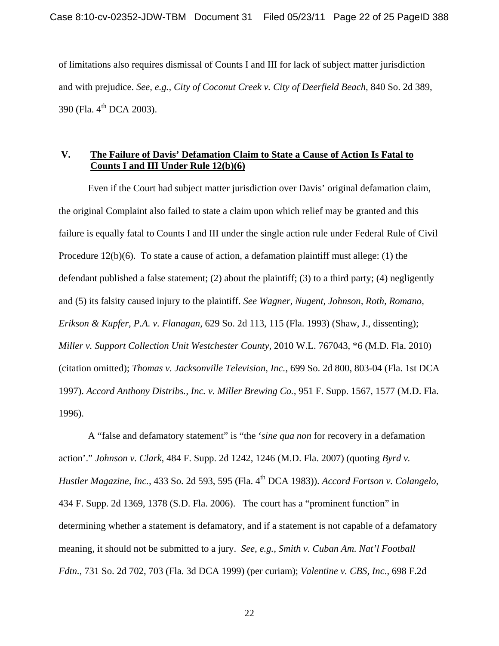of limitations also requires dismissal of Counts I and III for lack of subject matter jurisdiction and with prejudice. *See, e.g., City of Coconut Creek v. City of Deerfield Beach*, 840 So. 2d 389, 390 (Fla. 4<sup>th</sup> DCA 2003).

# **V. The Failure of Davis' Defamation Claim to State a Cause of Action Is Fatal to Counts I and III Under Rule 12(b)(6)**

Even if the Court had subject matter jurisdiction over Davis' original defamation claim, the original Complaint also failed to state a claim upon which relief may be granted and this failure is equally fatal to Counts I and III under the single action rule under Federal Rule of Civil Procedure 12(b)(6). To state a cause of action, a defamation plaintiff must allege: (1) the defendant published a false statement; (2) about the plaintiff; (3) to a third party; (4) negligently and (5) its falsity caused injury to the plaintiff. *See Wagner, Nugent, Johnson, Roth, Romano, Erikson & Kupfer, P.A. v. Flanagan,* 629 So. 2d 113, 115 (Fla. 1993) (Shaw, J., dissenting); *Miller v. Support Collection Unit Westchester County*, 2010 W.L. 767043, \*6 (M.D. Fla. 2010) (citation omitted); *Thomas v. Jacksonville Television, Inc.*, 699 So. 2d 800, 803-04 (Fla. 1st DCA 1997). *Accord Anthony Distribs., Inc. v. Miller Brewing Co.,* 951 F. Supp. 1567, 1577 (M.D. Fla. 1996).

A "false and defamatory statement" is "the '*sine qua non* for recovery in a defamation action'." *Johnson v. Clark,* 484 F. Supp. 2d 1242, 1246 (M.D. Fla. 2007) (quoting *Byrd v. Hustler Magazine, Inc.,* 433 So. 2d 593, 595 (Fla. 4th DCA 1983)). *Accord Fortson v. Colangelo*, 434 F. Supp. 2d 1369, 1378 (S.D. Fla. 2006). The court has a "prominent function" in determining whether a statement is defamatory, and if a statement is not capable of a defamatory meaning, it should not be submitted to a jury. *See, e.g., Smith v. Cuban Am. Nat'l Football Fdtn.,* 731 So. 2d 702, 703 (Fla. 3d DCA 1999) (per curiam); *Valentine v. CBS, Inc*., 698 F.2d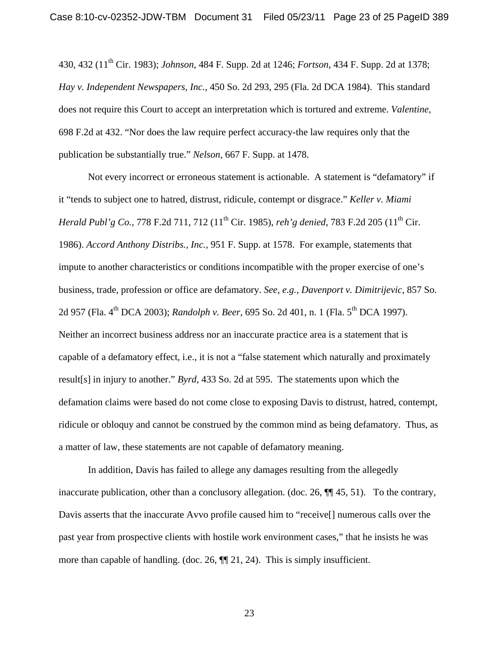430, 432 (11th Cir. 1983); *Johnson*, 484 F. Supp. 2d at 1246; *Fortson*, 434 F. Supp. 2d at 1378; *Hay v. Independent Newspapers, Inc.,* 450 So. 2d 293, 295 (Fla. 2d DCA 1984). This standard does not require this Court to accept an interpretation which is tortured and extreme. *Valentine*, 698 F.2d at 432. "Nor does the law require perfect accuracy-the law requires only that the publication be substantially true." *Nelson*, 667 F. Supp. at 1478.

Not every incorrect or erroneous statement is actionable. A statement is "defamatory" if it "tends to subject one to hatred, distrust, ridicule, contempt or disgrace." *Keller v. Miami Herald Publ'g Co., 778 F.2d 711, 712* (11<sup>th</sup> Cir. 1985), *reh'g denied*, 783 F.2d 205 (11<sup>th</sup> Cir. 1986). *Accord Anthony Distribs., Inc.,* 951 F. Supp. at 1578. For example, statements that impute to another characteristics or conditions incompatible with the proper exercise of one's business, trade, profession or office are defamatory. *See, e.g., Davenport v. Dimitrijevic,* 857 So. 2d 957 (Fla. 4<sup>th</sup> DCA 2003); *Randolph v. Beer*, 695 So. 2d 401, n. 1 (Fla. 5<sup>th</sup> DCA 1997). Neither an incorrect business address nor an inaccurate practice area is a statement that is capable of a defamatory effect, i.e., it is not a "false statement which naturally and proximately result[s] in injury to another." *Byrd*, 433 So. 2d at 595. The statements upon which the defamation claims were based do not come close to exposing Davis to distrust, hatred, contempt, ridicule or obloquy and cannot be construed by the common mind as being defamatory. Thus, as a matter of law, these statements are not capable of defamatory meaning.

In addition, Davis has failed to allege any damages resulting from the allegedly inaccurate publication, other than a conclusory allegation. (doc. 26,  $\P$  $[$  $]$  $[$  $45,$   $51$ ). To the contrary, Davis asserts that the inaccurate Avvo profile caused him to "receive[] numerous calls over the past year from prospective clients with hostile work environment cases," that he insists he was more than capable of handling. (doc. 26, ¶¶ 21, 24). This is simply insufficient.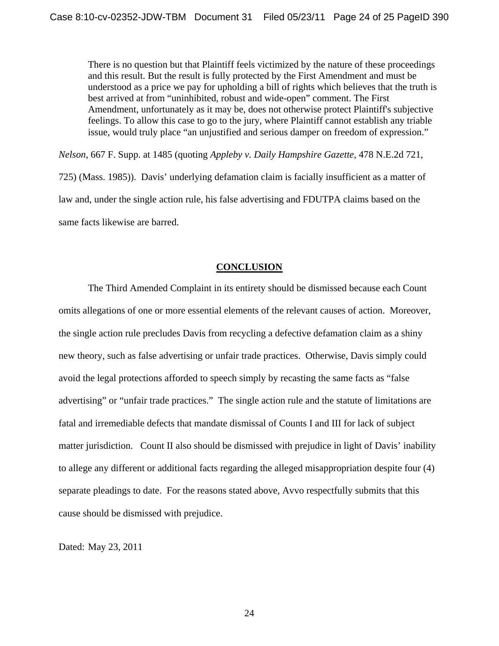There is no question but that Plaintiff feels victimized by the nature of these proceedings and this result. But the result is fully protected by the First Amendment and must be understood as a price we pay for upholding a bill of rights which believes that the truth is best arrived at from "uninhibited, robust and wide-open" comment. The First Amendment, unfortunately as it may be, does not otherwise protect Plaintiff's subjective feelings. To allow this case to go to the jury, where Plaintiff cannot establish any triable issue, would truly place "an unjustified and serious damper on freedom of expression."

*Nelson*, 667 F. Supp. at 1485 (quoting *Appleby v. Daily Hampshire Gazette,* 478 N.E.2d 721, 725) (Mass. 1985)). Davis' underlying defamation claim is facially insufficient as a matter of law and, under the single action rule, his false advertising and FDUTPA claims based on the same facts likewise are barred.

#### **CONCLUSION**

The Third Amended Complaint in its entirety should be dismissed because each Count omits allegations of one or more essential elements of the relevant causes of action. Moreover, the single action rule precludes Davis from recycling a defective defamation claim as a shiny new theory, such as false advertising or unfair trade practices. Otherwise, Davis simply could avoid the legal protections afforded to speech simply by recasting the same facts as "false advertising" or "unfair trade practices." The single action rule and the statute of limitations are fatal and irremediable defects that mandate dismissal of Counts I and III for lack of subject matter jurisdiction. Count II also should be dismissed with prejudice in light of Davis' inability to allege any different or additional facts regarding the alleged misappropriation despite four (4) separate pleadings to date. For the reasons stated above, Avvo respectfully submits that this cause should be dismissed with prejudice.

Dated: May 23, 2011